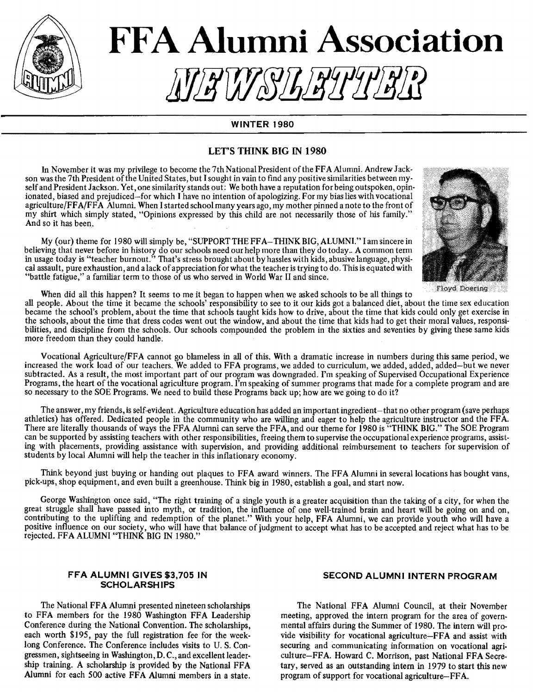

# **FFA Alumni Association** !!JHU/SJhJHJJJJ

#### WINTER 1980

#### LET'S THINK BIG IN 1980

In November it was my privilege to become the 7th National President of the FFA Alumni. Andrew Jackson was the 7th President of the United States, but I sought in vain to find any positive similarities between myself and President Jackson. Yet, one similarity stands out: We both have a reputation for being outspoken, opinionated, biased and prejudiced-for which I have no intention of apologizing. For my bias lies with vocational agriculture/FF A/FF A Alumni. When I started school many years ago, my mother pinned a note to the front of my shirt which simply stated, "Opinions expressed by this child are not necessarily those of his family." And so it has been.

My (our) theme for 1980 will simply be, "SUPPORTTHEFFA-THINKBIG,ALUMNI." lam sincere in believing that never before in history do our schools need our help more than they do today .. A common term in usage today is "teacher burnout." That's stress brought about by hassles with kids, abusive language, physical assault, pure exhaustion, and alack of appreciation for what the teacher is trying to do. This is equated with "battle fatigue," a familiar term to those of us who served in World War II and since.



When did all this happen? It seems to me it began to happen when we asked schools to be all things to

all people. About the time it became the schools' responsibility to see to it our kids got a balanced diet, about the time sex education became the school's problem, about the time that schools taught kids how to drive, about the time that kids could only get exercise in the schools, about the time that dress codes went out the window, and about the time that kids had to get their moral values, responsibilities, and discipline from the schools. Our schools compounded the problem in the sixties and seventies by giving these same kids more freedom than they could handle.

Vocational Agriculture/FF A cannot go blameless in all of this. With a dramatic increase in numbers during this same period, we increased the work load of our teachers. We added to FFA programs, we added to curriculum, we added, added, added-but we never subtracted. As a result, the most important part of our program was downgraded. I'm speaking of Supervised Occupational Experience Programs, the heart of the vocational agriculture program. I'm speaking of summer programs that made for a complete program and are so necessary to the SOE Programs. We need to build these Programs back up; how are we going to do it?

The answer, my friends, is self-evident. Agriculture education has added an important ingredient-that no other program (save perhaps athletics) has offered. Dedicated people in the community who are willing and eager to help the agriculture instructor and the FFA. There are literally thousands of ways the FFA Alumni can serve the FFA, and our theme for 1980 is "THINK BIG." The SOE Program can be supported by assisting teachers with other responsibilities, freeing them to supervise the occupational experience programs, assisting with placements, providing assistance with supervision, and providing additional reimbursement to teachers for supervision of students by local Alumni will help the teacher in this inflationary economy.

Think beyond just buying or handing out plaques to FFA award winners. The FFA Alumni in several locations has bought vans, pick-ups, shop equipment, and even built a greenhouse. Think big in 1980, establish a goal, and start now.

George Washington once said, "The right training of a single youth is a greater acquisition than the taking of a city, for when the great struggle shall have passed into myth, or tradition, the influence of one well-trained brain and heart will be going on and on, contributing to the uplifting and redemption of the planet." With your help, FF A Alumni, we can provide youth who will have a positive influence on our society, who will have that balance of judgment to accept what has to be accepted and reject what has to be rejected. FFA ALUMNI "THINK BIG IN 1980."

#### FFA ALUMNI GIVES \$3,705 JN **SCHOLARSHIPS**

The National FFA Alumni presented nineteen scholarships to FFA members for the 1980 Washington FFA Leadership Conference during the National Convention. The scholarships, each worth \$195, pay the full registration fee for the weeklong Conference. The Conference includes visits to U. S. Congressmen, sightseeing in Washington, D. C., and excellent leadership training. A scholarship is provided by the National FFA Alumni for each 500 active FFA Alumni members in a state.

#### SECOND ALUMNI INTERN PROGRAM

The National FFA Alumni Council, at their November meeting, approved the intern program for the area of governmental affairs during the Summer of 1980. The intern will provide visibility for vocational agriculture-FFA and assist with securing and communicating information on vocational agriculture-FFA. Howard C. Morrison, past National FFA Secretary, served as an outstanding intern in 1979 to start this new program of support for vocational agriculture-FF A.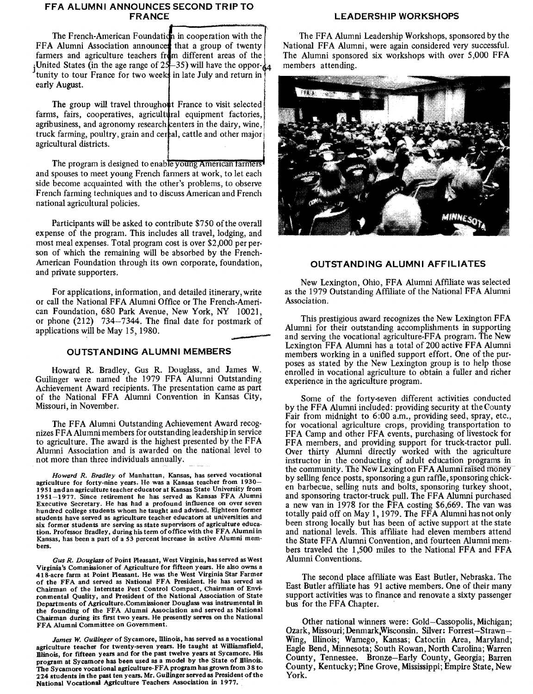#### **FFA ALUMNI ANNOUNCES SECOND TRIP TO FRANCE**

The French-American Foundation in cooperation with the FFA Alumni Association announce that a group of twenty farmers and agriculture teachers from different areas of the $\vert$  $i$ United States (in the age range of 25–35) will have the opporfarmers and agriculture teachers from different areas of the United States (in the age range of  $25-35$ ) will have the oppor-<br>tunity to tour France for two weeks in late July and return in early August early August.

The group will travel throughout France to visit selected farms, fairs, cooperatives, agricultural equipment factories, agribusiness, and agronomy research centers in the dairy, wine, truck farming, poultry, grain and cereal, cattle and other major agricultural districts.

The program is designed to enable young American farmers and spouses to meet young French farmers at work, to let each side become acquainted with the other's problems, to observe French farming techniques and to discuss American and French national agricultural policies.

Participants will be asked to contribute \$750 of the overall expense of the program. This includes all travel, lodging, and most meal expenses. Total program cost is over \$2,000 per person of which the remaining will be absorbed by the French-American Foundation through its own corporate, foundation, and private supporters.

For applications, information, and detailed itinerary, write or call the National FFA Alumni Office or The French-American Foundation, 680 Park Avenue, New York, NY 10021, or phone (212) 734-7344. The final date for postmark of applications will be May 15, 1980.

#### - **OUTSTANDING ALUMNI MEMBERS**

Howard R. Bradley, Gus R. Douglass, and James W. Guilinger were named the 1979 FFA Alumni Outstanding Achievement Award recipients. The presentation came as part of the National FFA Alumni Convention in Kansas City, Missouri, in November.

The FFA Alumni Outstanding Achievement Award recognizes FF A Alumni members for outstanding leadership in service to agriculture. The award is the highest presented by the FFA Alumni Association and is awarded on the national level to not more than three individuals annually.

Howard R. Bradley of Manhattan, Kansas, has served vocational agriculture for forty-nine years. He was a Kansas teacher from 1930- 1951 and an agriculture teacher educator at Kansas State University from 1951-1977. Since retirement he has served as Kansas FFA Alumni Executive Secretary. He has had a profound influence on over seven hundred college students whom he taught and advised. Eighteen former students have served as agriculture teacher educators at universities and six former students are serving as state supervisors of agriculture education. Professor Bradley, during his term of office with the FF A Alumni in Kansas, has been a part of a 53 percent increase in active Alumni members.

Gus R. Douglass of Point Pleasant, West Virginia, has served as West Virginia's Commissioner of Agriculture for fifteen years. He also owns a 418-acre farm at Point Pleasant. He was the West Virginia Star Farmer of the FFA and served as National FFA President. He has served as Chairman of the Interstate Pest Control Compact, Chairman of Environmental Quality, and President of the National Association of State Departments of Agriculture.Commissioner Douglass was instrumental in the founding of the FFA Alumni Association and served as National Chairman during its first two years. He presently serves on the National FFA Alumni Committee on Government.

James W. Guilinger of Sycamore, Illinois, has served as a vocational agriculture teacher for twenty-seven years. He taught at Williamsfield, Illinois, for fifteen years and for the past twelve years at Sycamore. His program at Sycamore has been used as a model by the State of Dlinois. The Sycamore vocational agriculture-FFA program has grown from 38 to 224 students in the past ten years. **Mr.** Guilinger served as President of the National Vocational Agriculture Teachers Association in 1977.

#### **LEADERSHIP WORKSHOPS**

The FFA Alumni Leadership Workshops, sponsored by the National FFA Alumni, were again considered very successful. The Alumni sponsored six workshops with over 5,000 FFA members attending.



#### **OUTSTANDING ALUMNI AFFILIATES**

New Lexington, Ohio, FFA Alumni Affiliate was selected as the 1979 Outstanding Affiliate of the National FFA Alumni Association.

This prestigious award recognizes the New Lexington FFA Alumni for their outstanding accomplishments in supporting and serving the vocational agriculture-FFA program. The New Lexington FFA Alumni has a total of 200 active FFA Alumni members working in a unified support effort. One of the purposes as stated by the New Lexington group is to help those enrolled in vocational agriculture to obtain a fuller and richer experience in the agriculture program.

Some of the forty-seven different activities conducted by the FFA Alumni included: providing security at the County Fair from midnight to 6:00 a.m., providing seed, spray, etc., for vocational agriculture crops, providing transportation to FFA Camp and other FFA events, purchasing of livestock for FFA members, and providing support for truck-tractor pull. Over thirty Alumni directly worked with the agriculture instructor in the conducting of adult education programs in the community. The New Lexington FFA Alumni raised money by selling fence posts, sponsoring a gun raffle, sponsoring chicken barbecue, selling nuts and bolts, sponsoring turkey shoot, and sponsoring tractor-truck pull. The FFA Alumni purchased a new van in 1978 for the FFA costing \$6,669. The van was totally paid off on May 1, 1979. The FFA Alumni has not only been strong locally but has been of active support at the state and national levels. This affiliate had eleven members attend the State FFA Alumni Convention, and fourteen Alumni members traveled the 1,500 miles to the National FFA and FFA Alumni Conventions.

The second place affiliate was East Butler, Nebraska. The East Butler affiliate has 91 active members. One of their many support activities was to finance and renovate a sixty passenger bus for the FFA Chapter.

Other national winners were: Gold-Cassopolis, Michigan; Ozark, Missouri; Denmark,Wisconsin. Silver: Forrest-Strawn-Wing, Illinois; Wamego, Kansas; Catoctin Area, Maryland; Eagle Bend, Minnesota; South Rowan, North Carolina; Warren County, Tennessee. Bronze-Early County, Georgia; Barren County, Kentucky; Pine Grove, Mississippi; Empire State, New York.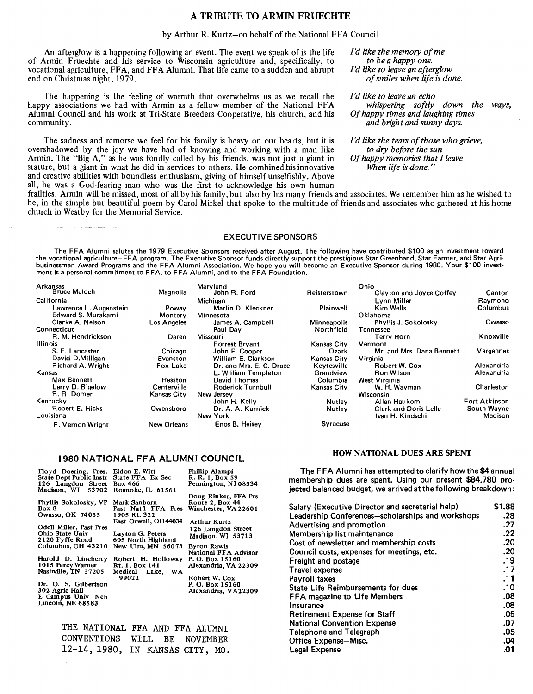#### A TRIBUTE TO ARMIN FRUECHTE

#### by Arthur R. Kurtz-on behalf of the National FFA Council

An afterglow is a happening following an event. The event we speak of is the life of Armin Fruechte and his service to Wisconsin agriculture and, specifically, to vocational agriculture, FFA, and FFA Alumni. That life came to a sudden and abrupt end on Christmas night, 1979.

The happening is the feeling of warmth that overwhelms us as we recall the *I'd like to leave an echo*  happy associations we had with Armin as a fellow member of the National FFA Alumni Council and his work at Tri-State Breeders Cooperative, his church, and his community.

The sadness and remorse we feel for his family is heavy on our hearts, but it is overshadowed by the joy we have had of knowing and working with a man like Armin. The "Big A," as he was fondly called by his friends, was not just a giant in stature, but a giant in what he did in services to others. He combined his innovative and creative abilities with boundless enthusiasm, giving of himself unselfishly. Above all, he was a God-fearing man who was the first to acknowledge his own human *I'd like the memory of me to be a happy one. I'd like to leave an afterglow of smiles when life is done.* 

*whispering softly down the ways, Of happy times and laughing times and bright and sunny days.* 

*I'd like the tears of those who grieve, to dry before the sun Of happy memories that I leave When life is done.* "

frailties. Armin will be missed, most of all by his family, but also by his many friends and associates. We remember him as he wished to be, in the simple but beautiful poem by Carol Mirkel that spoke to the multitude of friends and associates who gathered at his home church in Westby for the Memorial Service.

#### EXECUTIVE SPONSORS

The FFA Alumni salutes the 1979 Executive Sponsors received after August. The following have contributed \$100 as an investment toward the vocational agriculture-FFA program. The Executive Sponsor funds directly support the prestigious Star Greenhand, Star Farmer, and Star Agribusinessman Award Programs and the FFA Alumni Association. We hope you will become an Executive Sponsor during 1980. Your \$100 investment is a personal commitment to FFA, to FFA Alumni, and to the FFA Foundation.

| Arkansas                 |                    | Maryland                 |                    | Ohio                         |                      |
|--------------------------|--------------------|--------------------------|--------------------|------------------------------|----------------------|
| <b>Bruce Maloch</b>      | Magnolia           | John R. Ford             | Reisterstown       | Clayton and Joyce Coffey     | Canton               |
| California               |                    | Michigan                 |                    | Lvnn Miller                  | Ravmond              |
| Lawrence L. Augenstein   | Poway              | Marlin D. Kleckner       | Plainwell          | Kim Wells                    | Columbus             |
| Edward S. Murakami       | Montery            | Minnesota                |                    | Oklahoma                     |                      |
| Clarke A. Nelson         | Los Angeles        | James A. Campbell        | <b>Minneapolis</b> | <b>Phyllis J. Sokolosky</b>  | Owasso               |
| Connecticut              |                    | Paul Dav                 | Northfield         | Tennessee                    |                      |
| R. M. Hendrickson        | Daren              | Missouri                 |                    | Terry Horn                   | Knoxville            |
| Illinois                 |                    | <b>Forrest Brvant</b>    | Kansas City        | Vermont                      |                      |
| S. F. Lancaster          | Chicago            | John E. Cooper           | Ozark              | Mr. and Mrs. Dana Bennett    | Vergennes            |
| David D.Milligan         | Evanston           | William E. Clarkson      | Kansas City        | Virginia                     |                      |
| <b>Richard A. Wright</b> | <b>Fox Lake</b>    | Dr. and Mrs. E. C. Drace | Kevtesville        | Robert W. Cox                | Alexandria           |
| Kansas                   |                    | L. William Templeton     | Grandview          | <b>Ron Wilson</b>            | Alexandria           |
| Max Bennett              | Hesston            | David Thomas             | Columbia           | West Virginia                |                      |
| Larry D. Bigelow         | Centerville        | Roderick Turnbull        | Kansas City        | W. H. Wayman                 | Charleston           |
| R. R. Domer              | Kansas City        | New Jersey               |                    | Wisconsin                    |                      |
| Kentucky                 |                    | John H. Kelly            | Nutlev             | Allan Haukom                 | <b>Fort Atkinson</b> |
| Robert E. Hicks          | Owensboro          | Dr. A. A. Kurnick        | Nutley             | <b>Clark and Doris Lelle</b> | South Wayne          |
| Louisiana                |                    | New York                 |                    | Ivan H. Kindschi             | Madison              |
| F. Vernon Wright         | <b>New Orleans</b> | Enos B. Heisev           | <b>Syracuse</b>    |                              |                      |

#### 1980 NATIONAL FFA ALUMNI COUNCIL

| Floyd Doering, Pres. Eldon E. Witt<br>State Dept Public Instr State FFA Ex Sec<br>126 Langdon Street Box 466<br>Madison, WI 53702 Roanoke, IL 61561                                                                                                                        |                                                                                                                                                                                                                                       | Phillip Alampi<br>R. R. 1, Box 59<br>Pennington, NJ 08534<br>Doug Rinker, FFA Prs                                                                                                                                                               | The FFA Alumni has attempted to clarify how the<br>membership dues are spent. Using our present \$84<br>jected balanced budget, we arrived at the following bro                                                                                                                                                                                                                                                                                                     |
|----------------------------------------------------------------------------------------------------------------------------------------------------------------------------------------------------------------------------------------------------------------------------|---------------------------------------------------------------------------------------------------------------------------------------------------------------------------------------------------------------------------------------|-------------------------------------------------------------------------------------------------------------------------------------------------------------------------------------------------------------------------------------------------|---------------------------------------------------------------------------------------------------------------------------------------------------------------------------------------------------------------------------------------------------------------------------------------------------------------------------------------------------------------------------------------------------------------------------------------------------------------------|
| Phyllis Sokolosky, VP<br>Box 8<br>Owasso, OK 74055<br>Odell Miller, Past Pres<br>Ohio State Univ<br>2120 Fyffe Road<br>Harold D. Lineberry<br>1015 Percy Warner<br>Nashville, TN 37205<br>Dr. O. S. Gilbertson<br>302 Agric Hall<br>E Campus Univ Neb<br>Lincoln, NE 68583 | Mark Sanborn<br>Past Nat'l FFA Pres<br>1905 Rt. 322<br>East Orwell, OH44034<br>Layton G. Peters<br>605 North Highland<br>Columbus, OH 43210 New Ulm, MN 56073<br>Robert H. Holloway<br>Rt. 1, Box 141<br>Lake, WA<br>Medical<br>99022 | Route 2, Box 44<br>Winchester, VA 22601<br>Arthur Kurtz<br>126 Langdon Street<br>Madison, WI 53713<br>Byron Rawls<br>National FFA Advisor<br>P. O. Box 15160<br>Alexandria, VA 22309<br>Robert W. Cox<br>P. O. Box 15160<br>Alexandria, VA22309 | Salary (Executive Director and secretarial help)<br>Leadership Conferences-scholarships and workshops<br>Advertising and promotion<br>Membership list maintenance<br>Cost of newsletter and membership costs<br>Council costs, expenses for meetings, etc.<br>Freight and postage<br><b>Travel expense</b><br>Payroll taxes<br><b>State Life Reimbursements for dues</b><br>FFA magazine to Life Members<br><b>Insurance</b><br><b>Retirement Expense for Staff</b> |
| __________                                                                                                                                                                                                                                                                 | THE NATIONAL FFA AND FFA ALUMNI                                                                                                                                                                                                       |                                                                                                                                                                                                                                                 | <b>National Convention Expense</b><br>Telephone and Telegraph                                                                                                                                                                                                                                                                                                                                                                                                       |

Office Expense-Misc. Legal Expense

CONVENTIONS WILL BE NOVEMBER 12-14, 1980, IN KANSAS CITY, MO.

#### HOW NATIONAL DUES ARE SPENT

 $\kappa$  the \$4 annual \$84,780 prong breakdown:

> \$1.88 .28 .27 .22 .20 .20 .19 .17 .11 .10 .08 .08 .05 .07 .05 .04 .01